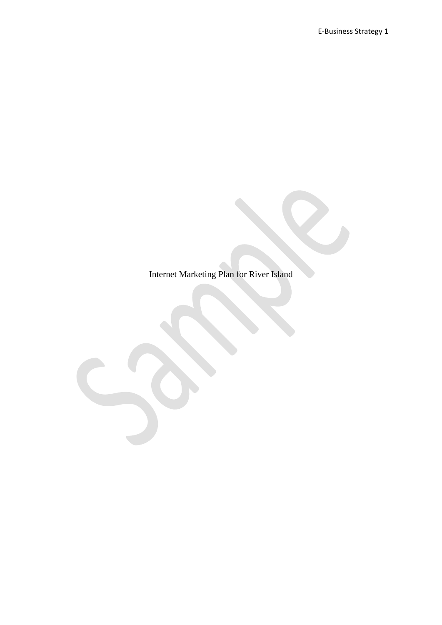Internet Marketing Plan for River Island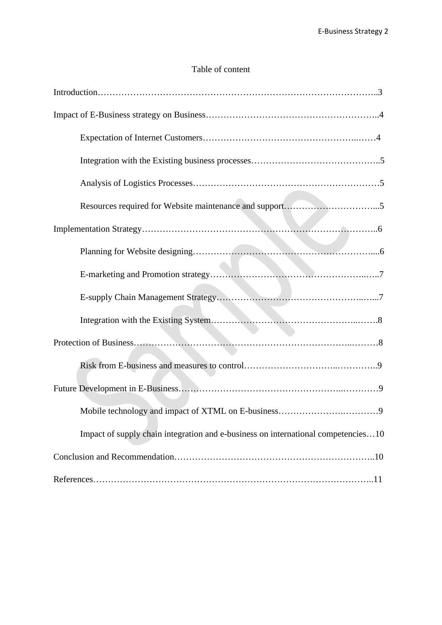# Table of content

| Impact of supply chain integration and e-business on international competencies10 |
|-----------------------------------------------------------------------------------|
|                                                                                   |
|                                                                                   |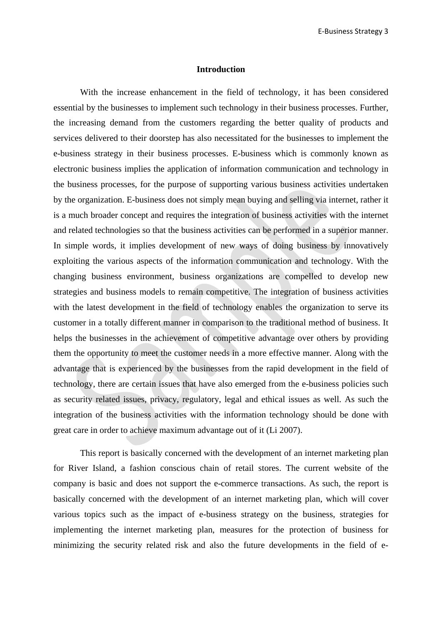## **Introduction**

With the increase enhancement in the field of technology, it has been considered essential by the businesses to implement such technology in their business processes. Further, the increasing demand from the customers regarding the better quality of products and services delivered to their doorstep has also necessitated for the businesses to implement the e-business strategy in their business processes. E-business which is commonly known as electronic business implies the application of information communication and technology in the business processes, for the purpose of supporting various business activities undertaken by the organization. E-business does not simply mean buying and selling via internet, rather it is a much broader concept and requires the integration of business activities with the internet and related technologies so that the business activities can be performed in a superior manner. In simple words, it implies development of new ways of doing business by innovatively exploiting the various aspects of the information communication and technology. With the changing business environment, business organizations are compelled to develop new strategies and business models to remain competitive. The integration of business activities with the latest development in the field of technology enables the organization to serve its customer in a totally different manner in comparison to the traditional method of business. It helps the businesses in the achievement of competitive advantage over others by providing them the opportunity to meet the customer needs in a more effective manner. Along with the advantage that is experienced by the businesses from the rapid development in the field of technology, there are certain issues that have also emerged from the e-business policies such as security related issues, privacy, regulatory, legal and ethical issues as well. As such the integration of the business activities with the information technology should be done with great care in order to achieve maximum advantage out of it (Li 2007).

This report is basically concerned with the development of an internet marketing plan for River Island, a fashion conscious chain of retail stores. The current website of the company is basic and does not support the e-commerce transactions. As such, the report is basically concerned with the development of an internet marketing plan, which will cover various topics such as the impact of e-business strategy on the business, strategies for implementing the internet marketing plan, measures for the protection of business for minimizing the security related risk and also the future developments in the field of e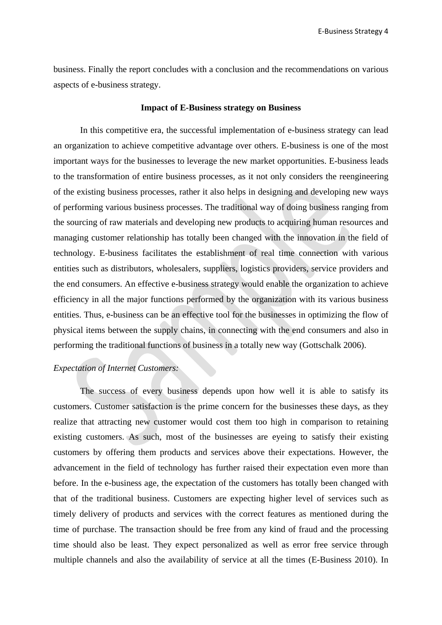business. Finally the report concludes with a conclusion and the recommendations on various aspects of e-business strategy.

#### **Impact of E-Business strategy on Business**

In this competitive era, the successful implementation of e-business strategy can lead an organization to achieve competitive advantage over others. E-business is one of the most important ways for the businesses to leverage the new market opportunities. E-business leads to the transformation of entire business processes, as it not only considers the reengineering of the existing business processes, rather it also helps in designing and developing new ways of performing various business processes. The traditional way of doing business ranging from the sourcing of raw materials and developing new products to acquiring human resources and managing customer relationship has totally been changed with the innovation in the field of technology. E-business facilitates the establishment of real time connection with various entities such as distributors, wholesalers, suppliers, logistics providers, service providers and the end consumers. An effective e-business strategy would enable the organization to achieve efficiency in all the major functions performed by the organization with its various business entities. Thus, e-business can be an effective tool for the businesses in optimizing the flow of physical items between the supply chains, in connecting with the end consumers and also in performing the traditional functions of business in a totally new way (Gottschalk 2006).

### *Expectation of Internet Customers:*

The success of every business depends upon how well it is able to satisfy its customers. Customer satisfaction is the prime concern for the businesses these days, as they realize that attracting new customer would cost them too high in comparison to retaining existing customers. As such, most of the businesses are eyeing to satisfy their existing customers by offering them products and services above their expectations. However, the advancement in the field of technology has further raised their expectation even more than before. In the e-business age, the expectation of the customers has totally been changed with that of the traditional business. Customers are expecting higher level of services such as timely delivery of products and services with the correct features as mentioned during the time of purchase. The transaction should be free from any kind of fraud and the processing time should also be least. They expect personalized as well as error free service through multiple channels and also the availability of service at all the times (E-Business 2010). In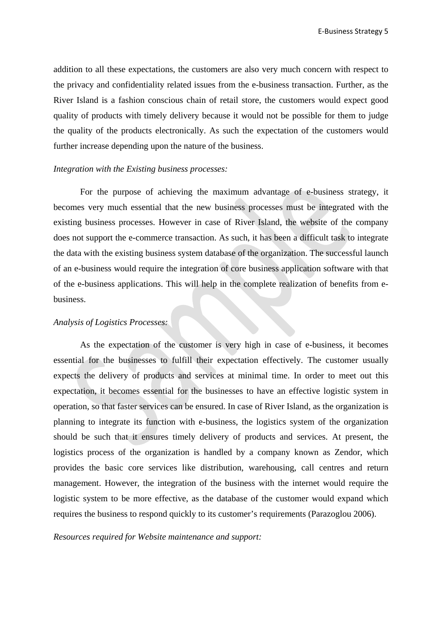addition to all these expectations, the customers are also very much concern with respect to the privacy and confidentiality related issues from the e-business transaction. Further, as the River Island is a fashion conscious chain of retail store, the customers would expect good quality of products with timely delivery because it would not be possible for them to judge the quality of the products electronically. As such the expectation of the customers would further increase depending upon the nature of the business.

#### *Integration with the Existing business processes:*

For the purpose of achieving the maximum advantage of e-business strategy, it becomes very much essential that the new business processes must be integrated with the existing business processes. However in case of River Island, the website of the company does not support the e-commerce transaction. As such, it has been a difficult task to integrate the data with the existing business system database of the organization. The successful launch of an e-business would require the integration of core business application software with that of the e-business applications. This will help in the complete realization of benefits from ebusiness.

#### *Analysis of Logistics Processes:*

As the expectation of the customer is very high in case of e-business, it becomes essential for the businesses to fulfill their expectation effectively. The customer usually expects the delivery of products and services at minimal time. In order to meet out this expectation, it becomes essential for the businesses to have an effective logistic system in operation, so that faster services can be ensured. In case of River Island, as the organization is planning to integrate its function with e-business, the logistics system of the organization should be such that it ensures timely delivery of products and services. At present, the logistics process of the organization is handled by a company known as Zendor, which provides the basic core services like distribution, warehousing, call centres and return management. However, the integration of the business with the internet would require the logistic system to be more effective, as the database of the customer would expand which requires the business to respond quickly to its customer's requirements (Parazoglou 2006).

*Resources required for Website maintenance and support:*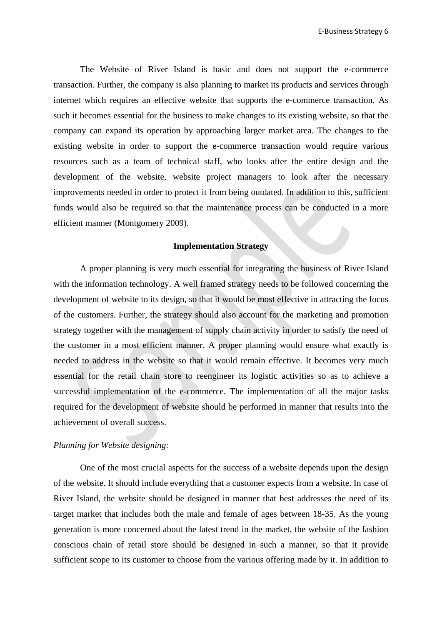The Website of River Island is basic and does not support the e-commerce transaction. Further, the company is also planning to market its products and services through internet which requires an effective website that supports the e-commerce transaction. As such it becomes essential for the business to make changes to its existing website, so that the company can expand its operation by approaching larger market area. The changes to the existing website in order to support the e-commerce transaction would require various resources such as a team of technical staff, who looks after the entire design and the development of the website, website project managers to look after the necessary improvements needed in order to protect it from being outdated. In addition to this, sufficient funds would also be required so that the maintenance process can be conducted in a more efficient manner (Montgomery 2009).

## **Implementation Strategy**

A proper planning is very much essential for integrating the business of River Island with the information technology. A well framed strategy needs to be followed concerning the development of website to its design, so that it would be most effective in attracting the focus of the customers. Further, the strategy should also account for the marketing and promotion strategy together with the management of supply chain activity in order to satisfy the need of the customer in a most efficient manner. A proper planning would ensure what exactly is needed to address in the website so that it would remain effective. It becomes very much essential for the retail chain store to reengineer its logistic activities so as to achieve a successful implementation of the e-commerce. The implementation of all the major tasks required for the development of website should be performed in manner that results into the achievement of overall success.

## *Planning for Website designing:*

One of the most crucial aspects for the success of a website depends upon the design of the website. It should include everything that a customer expects from a website. In case of River Island, the website should be designed in manner that best addresses the need of its target market that includes both the male and female of ages between 18-35. As the young generation is more concerned about the latest trend in the market, the website of the fashion conscious chain of retail store should be designed in such a manner, so that it provide sufficient scope to its customer to choose from the various offering made by it. In addition to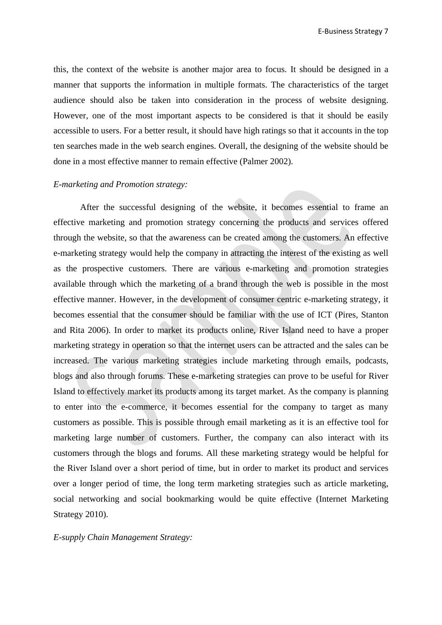this, the context of the website is another major area to focus. It should be designed in a manner that supports the information in multiple formats. The characteristics of the target audience should also be taken into consideration in the process of website designing. However, one of the most important aspects to be considered is that it should be easily accessible to users. For a better result, it should have high ratings so that it accounts in the top ten searches made in the web search engines. Overall, the designing of the website should be done in a most effective manner to remain effective (Palmer 2002).

### *E-marketing and Promotion strategy:*

After the successful designing of the website, it becomes essential to frame an effective marketing and promotion strategy concerning the products and services offered through the website, so that the awareness can be created among the customers. An effective e-marketing strategy would help the company in attracting the interest of the existing as well as the prospective customers. There are various e-marketing and promotion strategies available through which the marketing of a brand through the web is possible in the most effective manner. However, in the development of consumer centric e-marketing strategy, it becomes essential that the consumer should be familiar with the use of ICT (Pires, Stanton and Rita 2006). In order to market its products online, River Island need to have a proper marketing strategy in operation so that the internet users can be attracted and the sales can be increased. The various marketing strategies include marketing through emails, podcasts, blogs and also through forums. These e-marketing strategies can prove to be useful for River Island to effectively market its products among its target market. As the company is planning to enter into the e-commerce, it becomes essential for the company to target as many customers as possible. This is possible through email marketing as it is an effective tool for marketing large number of customers. Further, the company can also interact with its customers through the blogs and forums. All these marketing strategy would be helpful for the River Island over a short period of time, but in order to market its product and services over a longer period of time, the long term marketing strategies such as article marketing, social networking and social bookmarking would be quite effective (Internet Marketing Strategy 2010).

#### *E-supply Chain Management Strategy:*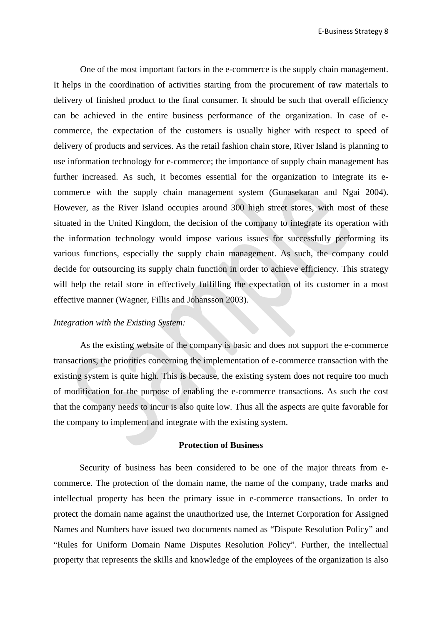One of the most important factors in the e-commerce is the supply chain management. It helps in the coordination of activities starting from the procurement of raw materials to delivery of finished product to the final consumer. It should be such that overall efficiency can be achieved in the entire business performance of the organization. In case of ecommerce, the expectation of the customers is usually higher with respect to speed of delivery of products and services. As the retail fashion chain store, River Island is planning to use information technology for e-commerce; the importance of supply chain management has further increased. As such, it becomes essential for the organization to integrate its ecommerce with the supply chain management system (Gunasekaran and Ngai 2004). However, as the River Island occupies around 300 high street stores, with most of these situated in the United Kingdom, the decision of the company to integrate its operation with the information technology would impose various issues for successfully performing its various functions, especially the supply chain management. As such, the company could decide for outsourcing its supply chain function in order to achieve efficiency. This strategy will help the retail store in effectively fulfilling the expectation of its customer in a most effective manner (Wagner, Fillis and Johansson 2003).

#### *Integration with the Existing System:*

As the existing website of the company is basic and does not support the e-commerce transactions, the priorities concerning the implementation of e-commerce transaction with the existing system is quite high. This is because, the existing system does not require too much of modification for the purpose of enabling the e-commerce transactions. As such the cost that the company needs to incur is also quite low. Thus all the aspects are quite favorable for the company to implement and integrate with the existing system.

### **Protection of Business**

Security of business has been considered to be one of the major threats from ecommerce. The protection of the domain name, the name of the company, trade marks and intellectual property has been the primary issue in e-commerce transactions. In order to protect the domain name against the unauthorized use, the Internet Corporation for Assigned Names and Numbers have issued two documents named as "Dispute Resolution Policy" and "Rules for Uniform Domain Name Disputes Resolution Policy". Further, the intellectual property that represents the skills and knowledge of the employees of the organization is also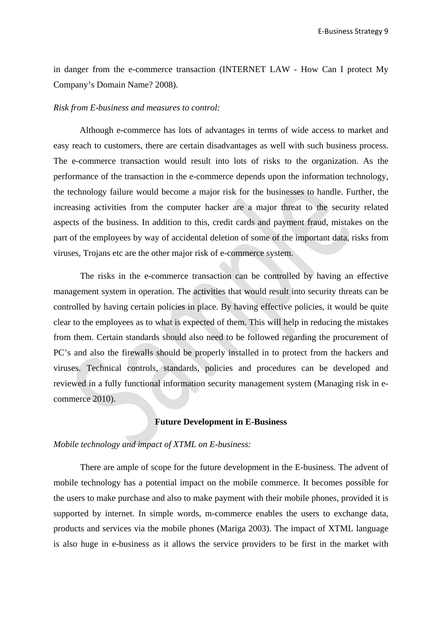in danger from the e-commerce transaction (INTERNET LAW - How Can I protect My Company's Domain Name? 2008).

#### *Risk from E-business and measures to control:*

Although e-commerce has lots of advantages in terms of wide access to market and easy reach to customers, there are certain disadvantages as well with such business process. The e-commerce transaction would result into lots of risks to the organization. As the performance of the transaction in the e-commerce depends upon the information technology, the technology failure would become a major risk for the businesses to handle. Further, the increasing activities from the computer hacker are a major threat to the security related aspects of the business. In addition to this, credit cards and payment fraud, mistakes on the part of the employees by way of accidental deletion of some of the important data, risks from viruses, Trojans etc are the other major risk of e-commerce system.

The risks in the e-commerce transaction can be controlled by having an effective management system in operation. The activities that would result into security threats can be controlled by having certain policies in place. By having effective policies, it would be quite clear to the employees as to what is expected of them. This will help in reducing the mistakes from them. Certain standards should also need to be followed regarding the procurement of PC's and also the firewalls should be properly installed in to protect from the hackers and viruses. Technical controls, standards, policies and procedures can be developed and reviewed in a fully functional information security management system (Managing risk in ecommerce 2010).

## **Future Development in E-Business**

## *Mobile technology and impact of XTML on E-business:*

There are ample of scope for the future development in the E-business. The advent of mobile technology has a potential impact on the mobile commerce. It becomes possible for the users to make purchase and also to make payment with their mobile phones, provided it is supported by internet. In simple words, m-commerce enables the users to exchange data, products and services via the mobile phones (Mariga 2003). The impact of XTML language is also huge in e-business as it allows the service providers to be first in the market with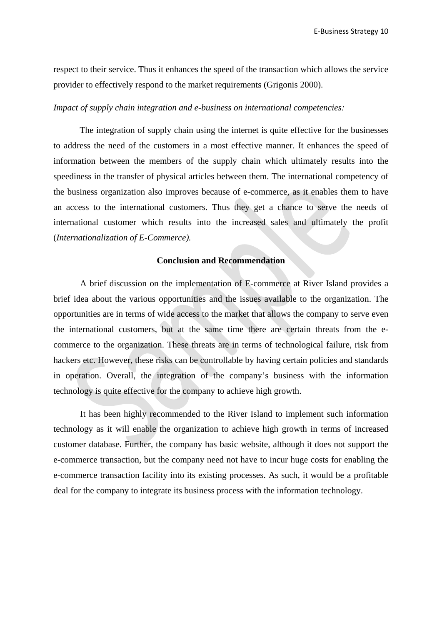respect to their service. Thus it enhances the speed of the transaction which allows the service provider to effectively respond to the market requirements (Grigonis 2000).

#### *Impact of supply chain integration and e-business on international competencies:*

The integration of supply chain using the internet is quite effective for the businesses to address the need of the customers in a most effective manner. It enhances the speed of information between the members of the supply chain which ultimately results into the speediness in the transfer of physical articles between them. The international competency of the business organization also improves because of e-commerce, as it enables them to have an access to the international customers. Thus they get a chance to serve the needs of international customer which results into the increased sales and ultimately the profit (*Internationalization of E-Commerce).*

#### **Conclusion and Recommendation**

A brief discussion on the implementation of E-commerce at River Island provides a brief idea about the various opportunities and the issues available to the organization. The opportunities are in terms of wide access to the market that allows the company to serve even the international customers, but at the same time there are certain threats from the ecommerce to the organization. These threats are in terms of technological failure, risk from hackers etc. However, these risks can be controllable by having certain policies and standards in operation. Overall, the integration of the company's business with the information technology is quite effective for the company to achieve high growth.

It has been highly recommended to the River Island to implement such information technology as it will enable the organization to achieve high growth in terms of increased customer database. Further, the company has basic website, although it does not support the e-commerce transaction, but the company need not have to incur huge costs for enabling the e-commerce transaction facility into its existing processes. As such, it would be a profitable deal for the company to integrate its business process with the information technology.